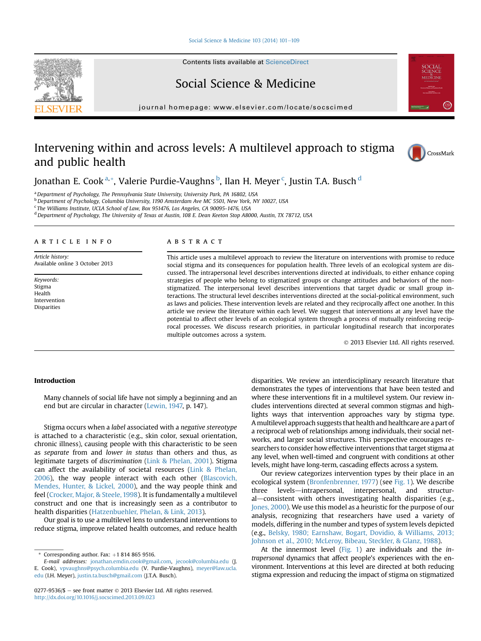#### [Social Science & Medicine 103 \(2014\) 101](http://dx.doi.org/10.1016/j.socscimed.2013.09.023)-[109](http://dx.doi.org/10.1016/j.socscimed.2013.09.023)

Contents lists available at [ScienceDirect](www.sciencedirect.com/science/journal/02779536)

# Social Science & Medicine

journal homepage: [www.elsevier.com/locate/socscimed](http://www.elsevier.com/locate/socscimed)

# Intervening within and across levels: A multilevel approach to stigma and public health



Jonathan E. Cook<sup>a,</sup>\*, Valerie Purdie-Vaughns <sup>b</sup>, Ilan H. Meyer <sup>c</sup>, Justin T.A. Busch <sup>d</sup>

<sup>a</sup> Department of Psychology, The Pennsylvania State University, University Park, PA 16802, USA

<sup>b</sup> Department of Psychology, Columbia University, 1190 Amsterdam Ave MC 5501, New York, NY 10027, USA

<sup>c</sup> The Williams Institute, UCLA School of Law, Box 951476, Los Angeles, CA 90095-1476, USA

<sup>d</sup> Department of Psychology, The University of Texas at Austin, 108 E. Dean Keeton Stop A8000, Austin, TX 78712, USA

# article info

Article history: Available online 3 October 2013

Keywords: Stigma Health Intervention Disparities

# ABSTRACT

This article uses a multilevel approach to review the literature on interventions with promise to reduce social stigma and its consequences for population health. Three levels of an ecological system are discussed. The intrapersonal level describes interventions directed at individuals, to either enhance coping strategies of people who belong to stigmatized groups or change attitudes and behaviors of the nonstigmatized. The interpersonal level describes interventions that target dyadic or small group interactions. The structural level describes interventions directed at the social-political environment, such as laws and policies. These intervention levels are related and they reciprocally affect one another. In this article we review the literature within each level. We suggest that interventions at any level have the potential to affect other levels of an ecological system through a process of mutually reinforcing reciprocal processes. We discuss research priorities, in particular longitudinal research that incorporates multiple outcomes across a system.

2013 Elsevier Ltd. All rights reserved.

# Introduction

Many channels of social life have not simply a beginning and an end but are circular in character ([Lewin, 1947,](#page-8-0) p. 147).

Stigma occurs when a label associated with a negative stereotype is attached to a characteristic (e.g., skin color, sexual orientation, chronic illness), causing people with this characteristic to be seen as separate from and lower in status than others and thus, as legitimate targets of discrimination ([Link & Phelan, 2001\)](#page-8-0). Stigma can affect the availability of societal resources ([Link & Phelan,](#page-8-0) [2006\)](#page-8-0), the way people interact with each other [\(Blascovich,](#page-7-0) [Mendes, Hunter, & Lickel, 2000](#page-7-0)), and the way people think and feel [\(Crocker, Major, & Steele, 1998](#page-7-0)). It is fundamentally a multilevel construct and one that is increasingly seen as a contributor to health disparities ([Hatzenbuehler, Phelan, & Link, 2013](#page-7-0)).

Our goal is to use a multilevel lens to understand interventions to reduce stigma, improve related health outcomes, and reduce health

disparities. We review an interdisciplinary research literature that demonstrates the types of interventions that have been tested and where these interventions fit in a multilevel system. Our review includes interventions directed at several common stigmas and highlights ways that intervention approaches vary by stigma type. Amultilevel approach suggests that health and healthcare are a part of a reciprocal web of relationships among individuals, their social networks, and larger social structures. This perspective encourages researchers to consider how effective interventions that target stigma at any level, when well-timed and congruent with conditions at other levels, might have long-term, cascading effects across a system.

Our review categorizes intervention types by their place in an ecological system ([Bronfenbrenner, 1977](#page-7-0)) (see [Fig. 1](#page-1-0)). We describe three levels-intrapersonal, interpersonal, and structural-consistent with others investigating health disparities (e.g., [Jones, 2000\)](#page-8-0). We use this model as a heuristic for the purpose of our analysis, recognizing that researchers have used a variety of models, differing in the number and types of system levels depicted (e.g., [Belsky, 1980; Earnshaw, Bogart, Dovidio, & Williams, 2013;](#page-7-0) [Johnson et al., 2010; McLeroy, Bibeau, Steckler, & Glanz, 1988\)](#page-7-0).

At the innermost level [\(Fig. 1](#page-1-0)) are individuals and the intrapersonal dynamics that affect people's experiences with the environment. Interventions at this level are directed at both reducing stigma expression and reducing the impact of stigma on stigmatized



Corresponding author. Fax:  $+1$  814 865 9516.

E-mail addresses: [jonathan.emdin.cook@gmail.com](mailto:jonathan.emdin.cook@gmail.com), [jecook@columbia.edu](mailto:jecook@columbia.edu) (J. E. Cook), [vpvaughns@psych.columbia.edu](mailto:vpvaughns@psych.columbia.edu) (V. Purdie-Vaughns), [meyer@law.ucla.](mailto:meyer@law.ucla.edu) [edu](mailto:meyer@law.ucla.edu) (I.H. Meyer), [justin.ta.busch@gmail.com](mailto:justin.ta.busch@gmail.com) (J.T.A. Busch).

<sup>0277-9536/\$</sup>  $-$  see front matter  $\odot$  2013 Elsevier Ltd. All rights reserved. <http://dx.doi.org/10.1016/j.socscimed.2013.09.023>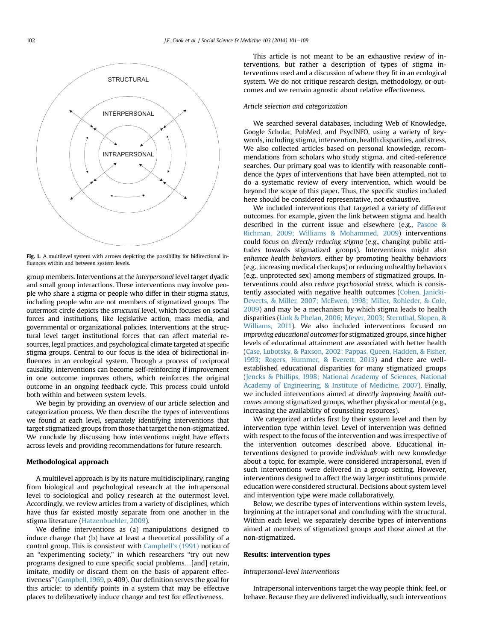<span id="page-1-0"></span>

Fig. 1. A multilevel system with arrows depicting the possibility for bidirectional influences within and between system levels.

group members. Interventions at the interpersonal level target dyadic and small group interactions. These interventions may involve people who share a stigma or people who differ in their stigma status, including people who are not members of stigmatized groups. The outermost circle depicts the structural level, which focuses on social forces and institutions, like legislative action, mass media, and governmental or organizational policies. Interventions at the structural level target institutional forces that can affect material resources, legal practices, and psychological climate targeted at specific stigma groups. Central to our focus is the idea of bidirectional influences in an ecological system. Through a process of reciprocal causality, interventions can become self-reinforcing if improvement in one outcome improves others, which reinforces the original outcome in an ongoing feedback cycle. This process could unfold both within and between system levels.

We begin by providing an overview of our article selection and categorization process. We then describe the types of interventions we found at each level, separately identifying interventions that target stigmatized groups from those that target the non-stigmatized. We conclude by discussing how interventions might have effects across levels and providing recommendations for future research.

## Methodological approach

A multilevel approach is by its nature multidisciplinary, ranging from biological and psychological research at the intrapersonal level to sociological and policy research at the outermost level. Accordingly, we review articles from a variety of disciplines, which have thus far existed mostly separate from one another in the stigma literature [\(Hatzenbuehler, 2009](#page-7-0)).

We define interventions as (a) manipulations designed to induce change that (b) have at least a theoretical possibility of a control group. This is consistent with [Campbell](#page-7-0)'s (1991) notion of an "experimenting society," in which researchers "try out new programs designed to cure specific social problems...[and] retain, imitate, modify or discard them on the basis of apparent effectiveness" ([Campbell, 1969,](#page-7-0) p. 409). Our definition serves the goal for this article: to identify points in a system that may be effective places to deliberatively induce change and test for effectiveness.

This article is not meant to be an exhaustive review of interventions, but rather a description of types of stigma interventions used and a discussion of where they fit in an ecological system. We do not critique research design, methodology, or outcomes and we remain agnostic about relative effectiveness.

# Article selection and categorization

We searched several databases, including Web of Knowledge, Google Scholar, PubMed, and PsycINFO, using a variety of keywords, including stigma, intervention, health disparities, and stress. We also collected articles based on personal knowledge, recommendations from scholars who study stigma, and cited-reference searches. Our primary goal was to identify with reasonable confidence the types of interventions that have been attempted, not to do a systematic review of every intervention, which would be beyond the scope of this paper. Thus, the specific studies included here should be considered representative, not exhaustive.

We included interventions that targeted a variety of different outcomes. For example, given the link between stigma and health described in the current issue and elsewhere (e.g., [Pascoe &](#page-8-0) [Richman, 2009; Williams & Mohammed, 2009\)](#page-8-0) interventions could focus on directly reducing stigma (e.g., changing public attitudes towards stigmatized groups). Interventions might also enhance health behaviors, either by promoting healthy behaviors (e.g., increasing medical checkups) or reducing unhealthy behaviors (e.g., unprotected sex) among members of stigmatized groups. Interventions could also reduce psychosocial stress, which is consistently associated with negative health outcomes ([Cohen, Janicki-](#page-7-0)[Deverts, & Miller, 2007; McEwen, 1998; Miller, Rohleder, & Cole,](#page-7-0) [2009\)](#page-7-0) and may be a mechanism by which stigma leads to health disparities [\(Link & Phelan, 2006; Meyer, 2003; Sternthal, Slopen, &](#page-8-0) [Williams, 2011](#page-8-0)). We also included interventions focused on improving educational outcomes for stigmatized groups, since higher levels of educational attainment are associated with better health ([Case, Lubotsky, & Paxson, 2002; Pappas, Queen, Hadden, & Fisher,](#page-7-0) [1993; Rogers, Hummer, & Everett, 2013\)](#page-7-0) and there are wellestablished educational disparities for many stigmatized groups ([Jencks & Phillips, 1998; National Academy of Sciences, National](#page-7-0) [Academy of Engineering, & Institute of Medicine, 2007\)](#page-7-0). Finally, we included interventions aimed at directly improving health outcomes among stigmatized groups, whether physical or mental (e.g., increasing the availability of counseling resources).

We categorized articles first by their system level and then by intervention type within level. Level of intervention was defined with respect to the focus of the intervention and was irrespective of the intervention outcomes described above. Educational interventions designed to provide individuals with new knowledge about a topic, for example, were considered intrapersonal, even if such interventions were delivered in a group setting. However, interventions designed to affect the way larger institutions provide education were considered structural. Decisions about system level and intervention type were made collaboratively.

Below, we describe types of interventions within system levels, beginning at the intrapersonal and concluding with the structural. Within each level, we separately describe types of interventions aimed at members of stigmatized groups and those aimed at the non-stigmatized.

# Results: intervention types

## Intrapersonal-level interventions

Intrapersonal interventions target the way people think, feel, or behave. Because they are delivered individually, such interventions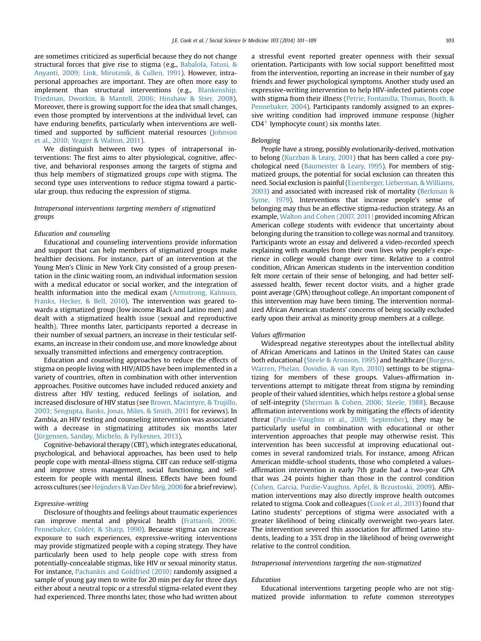are sometimes criticized as superficial because they do not change structural forces that give rise to stigma (e.g., [Babalola, Fatusi, &](#page-7-0) [Anyanti, 2009; Link, Mirotznik, & Cullen, 1991](#page-7-0)). However, intrapersonal approaches are important. They are often more easy to implement than structural interventions (e.g., [Blankenship,](#page-7-0) [Friedman, Dworkin, & Mantell, 2006; Hinshaw & Stier, 2008\)](#page-7-0). Moreover, there is growing support for the idea that small changes, even those prompted by interventions at the individual level, can have enduring benefits, particularly when interventions are welltimed and supported by sufficient material resources [\(Johnson](#page-8-0) [et al., 2010; Yeager & Walton, 2011](#page-8-0)).

We distinguish between two types of intrapersonal interventions: The first aims to alter physiological, cognitive, affective, and behavioral responses among the targets of stigma and thus help members of stigmatized groups cope with stigma. The second type uses interventions to reduce stigma toward a particular group, thus reducing the expression of stigma.

# Intrapersonal interventions targeting members of stigmatized groups

#### Education and counseling

Educational and counseling interventions provide information and support that can help members of stigmatized groups make healthier decisions. For instance, part of an intervention at the Young Men's Clinic in New York City consisted of a group presentation in the clinic waiting room, an individual information session with a medical educator or social worker, and the integration of health information into the medical exam ([Armstrong, Kalmuss,](#page-7-0) [Franks, Hecker, & Bell, 2010\)](#page-7-0). The intervention was geared towards a stigmatized group (low income Black and Latino men) and dealt with a stigmatized health issue (sexual and reproductive health). Three months later, participants reported a decrease in their number of sexual partners, an increase in their testicular selfexams, an increase in their condom use, and more knowledge about sexually transmitted infections and emergency contraception.

Education and counseling approaches to reduce the effects of stigma on people living with HIV/AIDS have been implemented in a variety of countries, often in combination with other intervention approaches. Positive outcomes have included reduced anxiety and distress after HIV testing, reduced feelings of isolation, and increased disclosure of HIV status (see [Brown, Macintyre, & Trujillo,](#page-7-0) [2003; Sengupta, Banks, Jonas, Miles, & Smith, 2011](#page-7-0) for reviews). In Zambia, an HIV testing and counseling intervention was associated with a decrease in stigmatizing attitudes six months later ([Jürgensen, Sandøy, Michelo, & Fylkesnes, 2013\)](#page-8-0).

Cognitive-behavioral therapy (CBT), which integrates educational, psychological, and behavioral approaches, has been used to help people cope with mental-illness stigma. CBT can reduce self-stigma and improve stress management, social functioning, and selfesteem for people with mental illness. Effects have been found across cultures (see Heijnders & Van Der Meij, 2006 for a brief review).

### Expressive-writing

Disclosure of thoughts and feelings about traumatic experiences can improve mental and physical health ([Frattaroli, 2006;](#page-7-0) [Pennebaker, Colder, & Sharp, 1990](#page-7-0)). Because stigma can increase exposure to such experiences, expressive-writing interventions may provide stigmatized people with a coping strategy. They have particularly been used to help people cope with stress from potentially-concealable stigmas, like HIV or sexual minority status. For instance, [Pachankis and Goldfried \(2010\)](#page-8-0) randomly assigned a sample of young gay men to write for 20 min per day for three days either about a neutral topic or a stressful stigma-related event they had experienced. Three months later, those who had written about a stressful event reported greater openness with their sexual orientation. Participants with low social support benefitted most from the intervention, reporting an increase in their number of gay friends and fewer psychological symptoms. Another study used an expressive-writing intervention to help HIV-infected patients cope with stigma from their illness ([Petrie, Fontanilla, Thomas, Booth, &](#page-8-0) [Pennebaker, 2004\)](#page-8-0). Participants randomly assigned to an expressive writing condition had improved immune response (higher  $CD4<sup>+</sup>$  lymphocyte count) six months later.

# Belonging

People have a strong, possibly evolutionarily-derived, motivation to belong [\(Kurzban & Leary, 2001](#page-8-0)) that has been called a core psychological need ([Baumeister & Leary, 1995](#page-7-0)). For members of stigmatized groups, the potential for social exclusion can threaten this need. Social exclusion is painful ([Eisenberger, Lieberman, & Williams,](#page-7-0) [2003](#page-7-0)) and associated with increased risk of mortality [\(Berkman &](#page-7-0) [Syme, 1979\)](#page-7-0). Interventions that increase people's sense of belonging may thus be an effective stigma-reduction strategy. As an example, [Walton and Cohen \(2007, 2011\)](#page-8-0) provided incoming African American college students with evidence that uncertainty about belonging during the transition to college was normal and transitory. Participants wrote an essay and delivered a video-recorded speech explaining with examples from their own lives why people's experience in college would change over time. Relative to a control condition, African American students in the intervention condition felt more certain of their sense of belonging, and had better selfassessed health, fewer recent doctor visits, and a higher grade point average (GPA) throughout college. An important component of this intervention may have been timing. The intervention normalized African American students' concerns of being socially excluded early upon their arrival as minority group members at a college.

## Values affirmation

Widespread negative stereotypes about the intellectual ability of African Americans and Latinos in the United States can cause both educational ([Steele & Aronson, 1995\)](#page-8-0) and healthcare ([Burgess,](#page-7-0) [Warren, Phelan, Dovidio, & van Ryn, 2010\)](#page-7-0) settings to be stigmatizing for members of these groups. Values-affirmation interventions attempt to mitigate threat from stigma by reminding people of their valued identities, which helps restore a global sense of self-integrity [\(Sherman & Cohen, 2006; Steele, 1988](#page-8-0)). Because affirmation interventions work by mitigating the effects of identity threat [\(Purdie-Vaughns et al., 2009, September](#page-8-0)), they may be particularly useful in combination with educational or other intervention approaches that people may otherwise resist. This intervention has been successful at improving educational outcomes in several randomized trials. For instance, among African American middle-school students, those who completed a valuesaffirmation intervention in early 7th grade had a two-year GPA that was .24 points higher than those in the control condition ([Cohen, Garcia, Purdie-Vaughns, Apfel, & Brzustoski, 2009\)](#page-7-0). Affirmation interventions may also directly improve health outcomes related to stigma. Cook and colleagues ([Cook et al., 2013\)](#page-7-0) found that Latino students' perceptions of stigma were associated with a greater likelihood of being clinically overweight two-years later. The intervention severed this association for affirmed Latino students, leading to a 35% drop in the likelihood of being overweight relative to the control condition.

## Intrapersonal interventions targeting the non-stigmatized

# **Education**

Educational interventions targeting people who are not stigmatized provide information to refute common stereotypes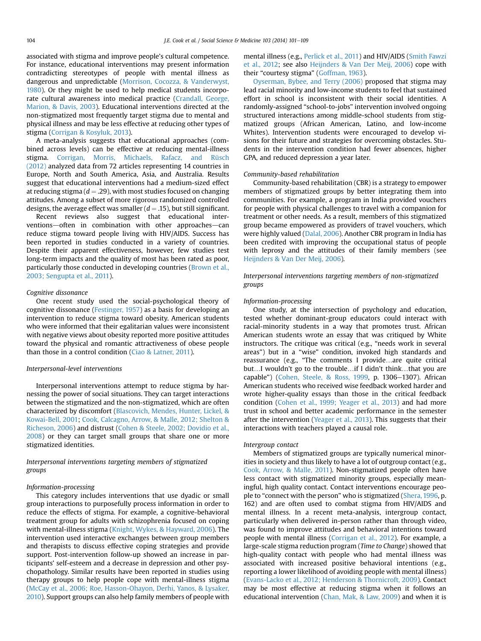associated with stigma and improve people's cultural competence. For instance, educational interventions may present information contradicting stereotypes of people with mental illness as dangerous and unpredictable ([Morrison, Cocozza, & Vanderwyst,](#page-8-0) [1980](#page-8-0)). Or they might be used to help medical students incorporate cultural awareness into medical practice ([Crandall, George,](#page-7-0) [Marion, & Davis, 2003](#page-7-0)). Educational interventions directed at the non-stigmatized most frequently target stigma due to mental and physical illness and may be less effective at reducing other types of stigma ([Corrigan & Kosyluk, 2013](#page-7-0)).

A meta-analysis suggests that educational approaches (combined across levels) can be effective at reducing mental-illness stigma. [Corrigan, Morris, Michaels, Rafacz, and Rüsch](#page-7-0) [\(2012\)](#page-7-0) analyzed data from 72 articles representing 14 countries in Europe, North and South America, Asia, and Australia. Results suggest that educational interventions had a medium-sized effect at reducing stigma ( $d = .29$ ), with most studies focused on changing attitudes. Among a subset of more rigorous randomized controlled designs, the average effect was smaller ( $d = .15$ ), but still significant.

Recent reviews also suggest that educational interventions-often in combination with other approaches-can reduce stigma toward people living with HIV/AIDS. Success has been reported in studies conducted in a variety of countries. Despite their apparent effectiveness, however, few studies test long-term impacts and the quality of most has been rated as poor, particularly those conducted in developing countries ([Brown et al.,](#page-7-0) [2003; Sengupta et al., 2011\)](#page-7-0).

# Cognitive dissonance

One recent study used the social-psychological theory of cognitive dissonance [\(Festinger, 1957](#page-7-0)) as a basis for developing an intervention to reduce stigma toward obesity. American students who were informed that their egalitarian values were inconsistent with negative views about obesity reported more positive attitudes toward the physical and romantic attractiveness of obese people than those in a control condition [\(Ciao & Latner, 2011\)](#page-7-0).

#### Interpersonal-level interventions

Interpersonal interventions attempt to reduce stigma by harnessing the power of social situations. They can target interactions between the stigmatized and the non-stigmatized, which are often characterized by discomfort ([Blascovich, Mendes, Hunter, Lickel, &](#page-7-0) [Kowai-Bell, 2001;](#page-7-0) [Cook, Calcagno, Arrow, & Malle, 2012; Shelton &](#page-7-0) [Richeson, 2006](#page-7-0)) and distrust ([Cohen & Steele, 2002; Dovidio et al.,](#page-7-0) [2008](#page-7-0)) or they can target small groups that share one or more stigmatized identities.

# Interpersonal interventions targeting members of stigmatized groups

#### Information-processing

This category includes interventions that use dyadic or small group interactions to purposefully process information in order to reduce the effects of stigma. For example, a cognitive-behavioral treatment group for adults with schizophrenia focused on coping with mental-illness stigma ([Knight, Wykes, & Hayward, 2006\)](#page-8-0). The intervention used interactive exchanges between group members and therapists to discuss effective coping strategies and provide support. Post-intervention follow-up showed an increase in participants' self-esteem and a decrease in depression and other psychopathology. Similar results have been reported in studies using therapy groups to help people cope with mental-illness stigma ([McCay et al., 2006; Roe, Hasson-Ohayon, Derhi, Yanos, & Lysaker,](#page-8-0) [2010](#page-8-0)). Support groups can also help family members of people with mental illness (e.g., [Perlick et al., 2011\)](#page-8-0) and HIV/AIDS ([Smith Fawzi](#page-8-0) [et al., 2012](#page-8-0); see also [Heijnders & Van Der Meij, 2006](#page-7-0)) cope with their "courtesy stigma" ([Goffman, 1963\)](#page-7-0).

[Oyserman, Bybee, and Terry \(2006\)](#page-8-0) proposed that stigma may lead racial minority and low-income students to feel that sustained effort in school is inconsistent with their social identities. A randomly-assigned "school-to-jobs" intervention involved ongoing structured interactions among middle-school students from stigmatized groups (African American, Latino, and low-income Whites). Intervention students were encouraged to develop visions for their future and strategies for overcoming obstacles. Students in the intervention condition had fewer absences, higher GPA, and reduced depression a year later.

#### Community-based rehabilitation

Community-based rehabilitation (CBR) is a strategy to empower members of stigmatized groups by better integrating them into communities. For example, a program in India provided vouchers for people with physical challenges to travel with a companion for treatment or other needs. As a result, members of this stigmatized group became empowered as providers of travel vouchers, which were highly valued ([Dalal, 2006\)](#page-7-0). Another CBR program in India has been credited with improving the occupational status of people with leprosy and the attitudes of their family members (see [Heijnders & Van Der Meij, 2006](#page-7-0)).

Interpersonal interventions targeting members of non-stigmatized groups

### Information-processing

One study, at the intersection of psychology and education, tested whether dominant-group educators could interact with racial-minority students in a way that promotes trust. African American students wrote an essay that was critiqued by White instructors. The critique was critical (e.g., "needs work in several areas") but in a "wise" condition, invoked high standards and reassurance (e.g., "The comments I provide...are quite critical but...I wouldn't go to the trouble...if I didn't think...that you are capable") ([Cohen, Steele, & Ross, 1999,](#page-7-0) p. 1306-1307). African American students who received wise feedback worked harder and wrote higher-quality essays than those in the critical feedback condition [\(Cohen et al., 1999; Yeager et al., 2013](#page-7-0)) and had more trust in school and better academic performance in the semester after the intervention ([Yeager et al., 2013](#page-8-0)). This suggests that their interactions with teachers played a causal role.

#### Intergroup contact

Members of stigmatized groups are typically numerical minorities in society and thus likely to have a lot of outgroup contact (e.g., [Cook, Arrow, & Malle, 2011](#page-7-0)). Non-stigmatized people often have less contact with stigmatized minority groups, especially meaningful, high quality contact. Contact interventions encourage people to "connect with the person" who is stigmatized ([Shera, 1996](#page-8-0), p. 162) and are often used to combat stigma from HIV/AIDS and mental illness. In a recent meta-analysis, intergroup contact, particularly when delivered in-person rather than through video, was found to improve attitudes and behavioral intentions toward people with mental illness ([Corrigan et al., 2012](#page-7-0)). For example, a large-scale stigma reduction program (Time to Change) showed that high-quality contact with people who had mental illness was associated with increased positive behavioral intentions (e.g., reporting a lower likelihood of avoiding people with mental illness) ([Evans-Lacko et al., 2012; Henderson & Thornicroft, 2009\)](#page-7-0). Contact may be most effective at reducing stigma when it follows an educational intervention ([Chan, Mak, & Law, 2009](#page-7-0)) and when it is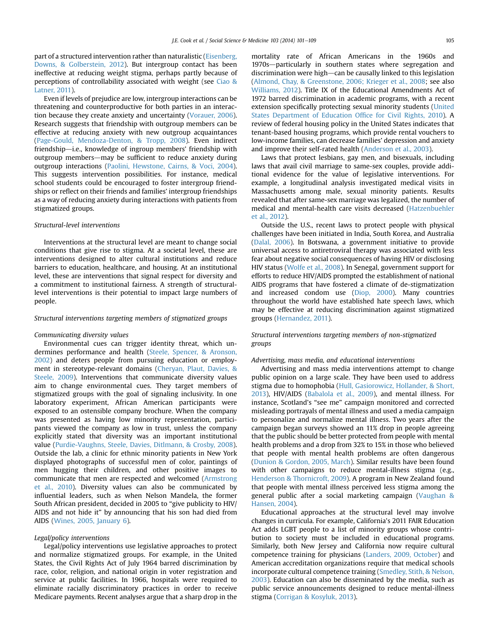part of a structured intervention rather than naturalistic ([Eisenberg,](#page-7-0) [Downs, & Golberstein, 2012\)](#page-7-0). But intergroup contact has been ineffective at reducing weight stigma, perhaps partly because of perceptions of controllability associated with weight (see [Ciao &](#page-7-0) [Latner, 2011](#page-7-0)).

Even if levels of prejudice are low, intergroup interactions can be threatening and counterproductive for both parties in an interaction because they create anxiety and uncertainty ([Vorauer, 2006\)](#page-8-0). Research suggests that friendship with outgroup members can be effective at reducing anxiety with new outgroup acquaintances ([Page-Gould, Mendoza-Denton, & Tropp, 2008](#page-8-0)). Even indirect friendship-i.e., knowledge of ingroup members' friendship with outgroup members-may be sufficient to reduce anxiety during outgroup interactions ([Paolini, Hewstone, Cairns, & Voci, 2004\)](#page-8-0). This suggests intervention possibilities. For instance, medical school students could be encouraged to foster intergroup friendships or reflect on their friends and families' intergroup friendships as a way of reducing anxiety during interactions with patients from stigmatized groups.

# Structural-level interventions

Interventions at the structural level are meant to change social conditions that give rise to stigma. At a societal level, these are interventions designed to alter cultural institutions and reduce barriers to education, healthcare, and housing. At an institutional level, these are interventions that signal respect for diversity and a commitment to institutional fairness. A strength of structurallevel interventions is their potential to impact large numbers of people.

## Structural interventions targeting members of stigmatized groups

## Communicating diversity values

Environmental cues can trigger identity threat, which undermines performance and health [\(Steele, Spencer, & Aronson,](#page-8-0) [2002\)](#page-8-0) and deters people from pursuing education or employment in stereotype-relevant domains [\(Cheryan, Plaut, Davies, &](#page-7-0) [Steele, 2009\)](#page-7-0). Interventions that communicate diversity values aim to change environmental cues. They target members of stigmatized groups with the goal of signaling inclusivity. In one laboratory experiment, African American participants were exposed to an ostensible company brochure. When the company was presented as having low minority representation, participants viewed the company as low in trust, unless the company explicitly stated that diversity was an important institutional value ([Purdie-Vaughns, Steele, Davies, Ditlmann, & Crosby, 2008\)](#page-8-0). Outside the lab, a clinic for ethnic minority patients in New York displayed photographs of successful men of color, paintings of men hugging their children, and other positive images to communicate that men are respected and welcomed [\(Armstrong](#page-7-0) [et al., 2010\)](#page-7-0). Diversity values can also be communicated by influential leaders, such as when Nelson Mandela, the former South African president, decided in 2005 to "give publicity to HIV/ AIDS and not hide it" by announcing that his son had died from AIDS ([Wines, 2005, January 6](#page-8-0)).

#### Legal/policy interventions

Legal/policy interventions use legislative approaches to protect and normalize stigmatized groups. For example, in the United States, the Civil Rights Act of July 1964 barred discrimination by race, color, religion, and national origin in voter registration and service at public facilities. In 1966, hospitals were required to eliminate racially discriminatory practices in order to receive Medicare payments. Recent analyses argue that a sharp drop in the mortality rate of African Americans in the 1960s and 1970s-particularly in southern states where segregation and discrimination were high-can be causally linked to this legislation ([Almond, Chay, & Greenstone, 2006; Krieger et al., 2008;](#page-6-0) see also [Williams, 2012](#page-8-0)). Title IX of the Educational Amendments Act of 1972 barred discrimination in academic programs, with a recent extension specifically protecting sexual minority students [\(United](#page-8-0) [States Department of Education Of](#page-8-0)fice for Civil Rights, 2010). A review of federal housing policy in the United States indicates that tenant-based housing programs, which provide rental vouchers to low-income families, can decrease families' depression and anxiety and improve their self-rated health ([Anderson et al., 2003](#page-7-0)).

Laws that protect lesbians, gay men, and bisexuals, including laws that avail civil marriage to same-sex couples, provide additional evidence for the value of legislative interventions. For example, a longitudinal analysis investigated medical visits in Massachusetts among male, sexual minority patients. Results revealed that after same-sex marriage was legalized, the number of medical and mental-health care visits decreased ([Hatzenbuehler](#page-7-0) [et al., 2012\)](#page-7-0).

Outside the U.S., recent laws to protect people with physical challenges have been initiated in India, South Korea, and Australia ([Dalal, 2006](#page-7-0)). In Botswana, a government initiative to provide universal access to antiretroviral therapy was associated with less fear about negative social consequences of having HIV or disclosing HIV status ([Wolfe et al., 2008\)](#page-8-0). In Senegal, government support for efforts to reduce HIV/AIDS prompted the establishment of national AIDS programs that have fostered a climate of de-stigmatization and increased condom use [\(Diop, 2000](#page-7-0)). Many countries throughout the world have established hate speech laws, which may be effective at reducing discrimination against stigmatized groups ([Hernandez, 2011](#page-7-0)).

# Structural interventions targeting members of non-stigmatized groups

#### Advertising, mass media, and educational interventions

Advertising and mass media interventions attempt to change public opinion on a large scale. They have been used to address stigma due to homophobia ([Hull, Gasiorowicz, Hollander, & Short,](#page-7-0) [2013\)](#page-7-0), HIV/AIDS [\(Babalola et al., 2009](#page-7-0)), and mental illness. For instance, Scotland's "see me" campaign monitored and corrected misleading portrayals of mental illness and used a media campaign to personalize and normalize mental illness. Two years after the campaign began surveys showed an 11% drop in people agreeing that the public should be better protected from people with mental health problems and a drop from 32% to 15% in those who believed that people with mental health problems are often dangerous ([Dunion & Gordon, 2005, March](#page-7-0)). Similar results have been found with other campaigns to reduce mental-illness stigma (e.g., [Henderson & Thornicroft, 2009](#page-7-0)). A program in New Zealand found that people with mental illness perceived less stigma among the general public after a social marketing campaign ([Vaughan &](#page-8-0) [Hansen, 2004\)](#page-8-0).

Educational approaches at the structural level may involve changes in curricula. For example, California's 2011 FAIR Education Act adds LGBT people to a list of minority groups whose contribution to society must be included in educational programs. Similarly, both New Jersey and California now require cultural competence training for physicians [\(Landers, 2009, October](#page-8-0)) and American accreditation organizations require that medical schools incorporate cultural competence training [\(Smedley, Stith, & Nelson,](#page-8-0) [2003\)](#page-8-0). Education can also be disseminated by the media, such as public service announcements designed to reduce mental-illness stigma [\(Corrigan & Kosyluk, 2013\)](#page-7-0).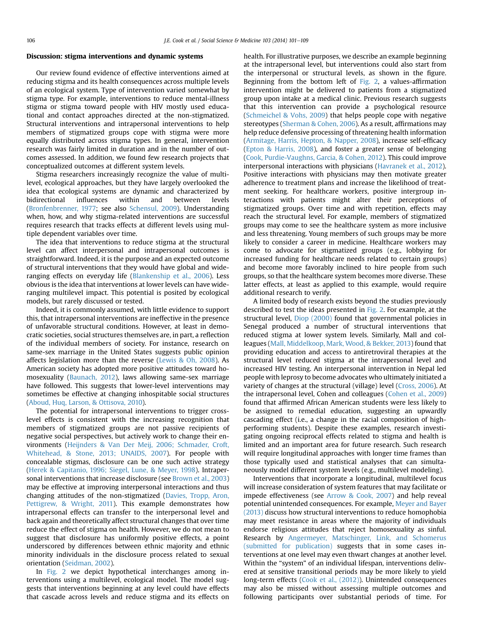# Discussion: stigma interventions and dynamic systems

Our review found evidence of effective interventions aimed at reducing stigma and its health consequences across multiple levels of an ecological system. Type of intervention varied somewhat by stigma type. For example, interventions to reduce mental-illness stigma or stigma toward people with HIV mostly used educational and contact approaches directed at the non-stigmatized. Structural interventions and intrapersonal interventions to help members of stigmatized groups cope with stigma were more equally distributed across stigma types. In general, intervention research was fairly limited in duration and in the number of outcomes assessed. In addition, we found few research projects that conceptualized outcomes at different system levels.

Stigma researchers increasingly recognize the value of multilevel, ecological approaches, but they have largely overlooked the idea that ecological systems are dynamic and characterized by bidirectional influences within and between levels ([Bronfenbrenner, 1977;](#page-7-0) see also [Schensul, 2009](#page-8-0)). Understanding when, how, and why stigma-related interventions are successful requires research that tracks effects at different levels using multiple dependent variables over time.

The idea that interventions to reduce stigma at the structural level can affect interpersonal and intrapersonal outcomes is straightforward. Indeed, it is the purpose and an expected outcome of structural interventions that they would have global and wideranging effects on everyday life [\(Blankenship et al., 2006](#page-7-0)). Less obvious is the idea that interventions at lower levels can have wideranging multilevel impact. This potential is posited by ecological models, but rarely discussed or tested.

Indeed, it is commonly assumed, with little evidence to support this, that intrapersonal interventions are ineffective in the presence of unfavorable structural conditions. However, at least in democratic societies, social structures themselves are, in part, a reflection of the individual members of society. For instance, research on same-sex marriage in the United States suggests public opinion affects legislation more than the reverse ([Lewis & Oh, 2008](#page-8-0)). As American society has adopted more positive attitudes toward homosexuality [\(Baunach, 2012\)](#page-7-0), laws allowing same-sex marriage have followed. This suggests that lower-level interventions may sometimes be effective at changing inhospitable social structures ([Aboud, Huq, Larson, & Ottisova, 2010](#page-6-0)).

The potential for intrapersonal interventions to trigger crosslevel effects is consistent with the increasing recognition that members of stigmatized groups are not passive recipients of negative social perspectives, but actively work to change their environments ([Heijnders & Van Der Meij, 2006; Schmader, Croft,](#page-7-0) [Whitehead, & Stone, 2013; UNAIDS, 2007](#page-7-0)). For people with concealable stigmas, disclosure can be one such active strategy ([Herek & Capitanio, 1996; Siegel, Lune, & Meyer, 1998](#page-7-0)). Intrapersonal interventions that increase disclosure (see [Brown et al., 2003\)](#page-7-0) may be effective at improving interpersonal interactions and thus changing attitudes of the non-stigmatized [\(Davies, Tropp, Aron,](#page-7-0) [Pettigrew, & Wright, 2011](#page-7-0)). This example demonstrates how intrapersonal effects can transfer to the interpersonal level and back again and theoretically affect structural changes that over time reduce the effect of stigma on health. However, we do not mean to suggest that disclosure has uniformly positive effects, a point underscored by differences between ethnic majority and ethnic minority individuals in the disclosure process related to sexual orientation [\(Seidman, 2002\)](#page-8-0).

In [Fig. 2](#page-6-0) we depict hypothetical interchanges among interventions using a multilevel, ecological model. The model suggests that interventions beginning at any level could have effects that cascade across levels and reduce stigma and its effects on health. For illustrative purposes, we describe an example beginning at the intrapersonal level, but interventions could also start from the interpersonal or structural levels, as shown in the figure. Beginning from the bottom left of [Fig. 2](#page-6-0), a values-affirmation intervention might be delivered to patients from a stigmatized group upon intake at a medical clinic. Previous research suggests that this intervention can provide a psychological resource ([Schmeichel & Vohs, 2009\)](#page-8-0) that helps people cope with negative stereotypes [\(Sherman & Cohen, 2006](#page-8-0)). As a result, affirmations may help reduce defensive processing of threatening health information ([Armitage, Harris, Hepton, & Napper, 2008\)](#page-7-0), increase self-efficacy ([Epton & Harris, 2008](#page-7-0)), and foster a greater sense of belonging ([Cook, Purdie-Vaughns, Garcia, & Cohen, 2012\)](#page-7-0). This could improve interpersonal interactions with physicians ([Havranek et al., 2012\)](#page-7-0). Positive interactions with physicians may then motivate greater adherence to treatment plans and increase the likelihood of treatment seeking. For healthcare workers, positive intergroup interactions with patients might alter their perceptions of stigmatized groups. Over time and with repetition, effects may reach the structural level. For example, members of stigmatized groups may come to see the healthcare system as more inclusive and less threatening. Young members of such groups may be more likely to consider a career in medicine. Healthcare workers may come to advocate for stigmatized groups (e.g., lobbying for increased funding for healthcare needs related to certain groups) and become more favorably inclined to hire people from such groups, so that the healthcare system becomes more diverse. These latter effects, at least as applied to this example, would require additional research to verify.

A limited body of research exists beyond the studies previously described to test the ideas presented in [Fig. 2.](#page-6-0) For example, at the structural level, [Diop \(2000\)](#page-7-0) found that governmental policies in Senegal produced a number of structural interventions that reduced stigma at lower system levels. Similarly, Mall and colleagues ([Mall, Middelkoop, Mark, Wood, & Bekker, 2013\)](#page-8-0) found that providing education and access to antiretroviral therapies at the structural level reduced stigma at the intrapersonal level and increased HIV testing. An interpersonal intervention in Nepal led people with leprosy to become advocates who ultimately initiated a variety of changes at the structural (village) level [\(Cross, 2006](#page-7-0)). At the intrapersonal level, Cohen and colleagues ([Cohen et al., 2009\)](#page-7-0) found that affirmed African American students were less likely to be assigned to remedial education, suggesting an upwardly cascading effect (i.e., a change in the racial composition of highperforming students). Despite these examples, research investigating ongoing reciprocal effects related to stigma and health is limited and an important area for future research. Such research will require longitudinal approaches with longer time frames than those typically used and statistical analyses that can simultaneously model different system levels (e.g., multilevel modeling).

Interventions that incorporate a longitudinal, multilevel focus will increase consideration of system features that may facilitate or impede effectiveness (see [Arrow & Cook, 2007](#page-7-0)) and help reveal potential unintended consequences. For example, [Meyer and Bayer](#page-8-0) [\(2013\)](#page-8-0) discuss how structural interventions to reduce homophobia may meet resistance in areas where the majority of individuals endorse religious attitudes that reject homosexuality as sinful. Research by [Angermeyer, Matschinger, Link, and Schomerus](#page-7-0) [\(submitted for publication\)](#page-7-0) suggests that in some cases interventions at one level may even thwart changes at another level. Within the "system" of an individual lifespan, interventions delivered at sensitive transitional periods may be more likely to yield long-term effects ([Cook et al., \(2012\)\)](#page-7-0). Unintended consequences may also be missed without assessing multiple outcomes and following participants over substantial periods of time. For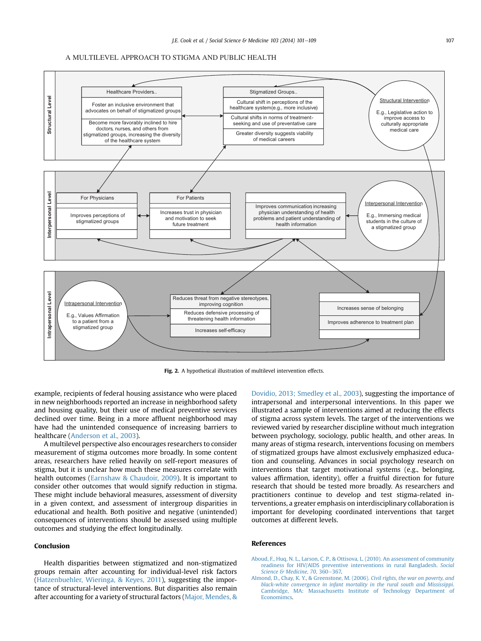<span id="page-6-0"></span>

Fig. 2. A hypothetical illustration of multilevel intervention effects.

example, recipients of federal housing assistance who were placed in new neighborhoods reported an increase in neighborhood safety and housing quality, but their use of medical preventive services declined over time. Being in a more affluent neighborhood may have had the unintended consequence of increasing barriers to healthcare ([Anderson et al., 2003](#page-7-0)).

A multilevel perspective also encourages researchers to consider measurement of stigma outcomes more broadly. In some content areas, researchers have relied heavily on self-report measures of stigma, but it is unclear how much these measures correlate with health outcomes [\(Earnshaw & Chaudoir, 2009](#page-7-0)). It is important to consider other outcomes that would signify reduction in stigma. These might include behavioral measures, assessment of diversity in a given context, and assessment of intergroup disparities in educational and health. Both positive and negative (unintended) consequences of interventions should be assessed using multiple outcomes and studying the effect longitudinally.

# Conclusion

Health disparities between stigmatized and non-stigmatized groups remain after accounting for individual-level risk factors ([Hatzenbuehler, Wieringa, & Keyes, 2011](#page-7-0)), suggesting the importance of structural-level interventions. But disparities also remain after accounting for a variety of structural factors ([Major, Mendes, &](#page-8-0)

[Dovidio, 2013; Smedley et al., 2003\)](#page-8-0), suggesting the importance of intrapersonal and interpersonal interventions. In this paper we illustrated a sample of interventions aimed at reducing the effects of stigma across system levels. The target of the interventions we reviewed varied by researcher discipline without much integration between psychology, sociology, public health, and other areas. In many areas of stigma research, interventions focusing on members of stigmatized groups have almost exclusively emphasized education and counseling. Advances in social psychology research on interventions that target motivational systems (e.g., belonging, values affirmation, identity), offer a fruitful direction for future research that should be tested more broadly. As researchers and practitioners continue to develop and test stigma-related interventions, a greater emphasis on interdisciplinary collaboration is important for developing coordinated interventions that target outcomes at different levels.

## References

- [Aboud, F., Huq, N. L., Larson, C. P., & Ottisova, L. \(2010\). An assessment of community](http://refhub.elsevier.com/S0277-9536(13)00529-7/sref1) [readiness for HIV/AIDS preventive interventions in rural Bangladesh.](http://refhub.elsevier.com/S0277-9536(13)00529-7/sref1) Social [Science & Medicine, 70](http://refhub.elsevier.com/S0277-9536(13)00529-7/sref1), 360-[367.](http://refhub.elsevier.com/S0277-9536(13)00529-7/sref1)
- [Almond, D., Chay, K. Y., & Greenstone, M. \(2006\).](http://refhub.elsevier.com/S0277-9536(13)00529-7/sref2) Civil rights, the war on poverty, and [black-white convergence in infant mortality in the rural south and Mississippi](http://refhub.elsevier.com/S0277-9536(13)00529-7/sref2). [Cambridge, MA: Massachusetts Institute of Technology Department of](http://refhub.elsevier.com/S0277-9536(13)00529-7/sref2) **Economimcs**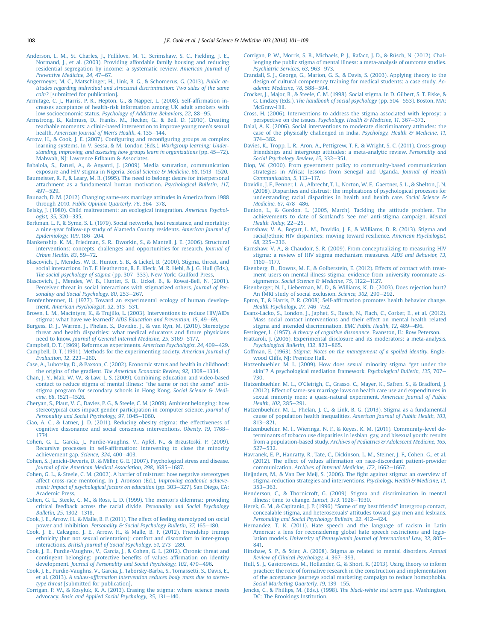- <span id="page-7-0"></span>[Anderson, L. M., St. Charles, J., Fullilove, M. T., Scrimshaw, S. C., Fielding, J. E.,](http://refhub.elsevier.com/S0277-9536(13)00529-7/sref3) [Normand, J., et al. \(2003\). Providing affordable family housing and reducing](http://refhub.elsevier.com/S0277-9536(13)00529-7/sref3) [residential segregation by income: a systematic review.](http://refhub.elsevier.com/S0277-9536(13)00529-7/sref3) American Journal of [Preventive Medicine, 24](http://refhub.elsevier.com/S0277-9536(13)00529-7/sref3), 47-[67.](http://refhub.elsevier.com/S0277-9536(13)00529-7/sref3)
- [Angermeyer, M. C., Matschinger, H., Link, B. G., & Schomerus, G. \(2013\).](http://refhub.elsevier.com/S0277-9536(13)00529-7/sref4) Public at[titudes regarding individual and structural discrimination: Two sides of the same](http://refhub.elsevier.com/S0277-9536(13)00529-7/sref4) coin? [\[submitted for publication\]](http://refhub.elsevier.com/S0277-9536(13)00529-7/sref4).
- [Armitage, C. J., Harris, P. R., Hepton, G., & Napper, L. \(2008\). Self-af](http://refhub.elsevier.com/S0277-9536(13)00529-7/sref5)firmation in[creases acceptance of health-risk information among UK adult smokers with](http://refhub.elsevier.com/S0277-9536(13)00529-7/sref5) low socioeconomic status. [Psychology of Addictive Behaviors, 22](http://refhub.elsevier.com/S0277-9536(13)00529-7/sref5), 88-[95](http://refhub.elsevier.com/S0277-9536(13)00529-7/sref5).
- [Armstrong, B., Kalmuss, D., Franks, M., Hecker, G., & Bell, D. \(2010\). Creating](http://refhub.elsevier.com/S0277-9536(13)00529-7/sref6) [teachable moments: a clinic-based intervention to improve young men](http://refhub.elsevier.com/S0277-9536(13)00529-7/sref6)'s sexual health. [American Journal of Men](http://refhub.elsevier.com/S0277-9536(13)00529-7/sref6)'s Health, 4, 135-[144.](http://refhub.elsevier.com/S0277-9536(13)00529-7/sref6)
- [Arrow, H., & Cook, J. E. \(2007\). Con](http://refhub.elsevier.com/S0277-9536(13)00529-7/sref7)figuring and reconfiguring groups as complex [learning systems. In V. Sessa, & M. London \(Eds.\),](http://refhub.elsevier.com/S0277-9536(13)00529-7/sref7) Workgroup learning: Under[standing, improving, and assessing how groups learn in organizations](http://refhub.elsevier.com/S0277-9536(13)00529-7/sref7) (pp.  $45-72$ ). [Mahwah, NJ: Lawrence Erlbaum & Associates.](http://refhub.elsevier.com/S0277-9536(13)00529-7/sref7)
- [Babalola, S., Fatusi, A., & Anyanti, J. \(2009\). Media saturation, communication](http://refhub.elsevier.com/S0277-9536(13)00529-7/sref8) [exposure and HIV stigma in Nigeria.](http://refhub.elsevier.com/S0277-9536(13)00529-7/sref8) Social Science & Medicine, 68, 1513-[1520](http://refhub.elsevier.com/S0277-9536(13)00529-7/sref8).
- [Baumeister, R. F., & Leary, M. R. \(1995\). The need to belong: desire for interpersonal](http://refhub.elsevier.com/S0277-9536(13)00529-7/sref9) [attachment as a fundamental human motivation.](http://refhub.elsevier.com/S0277-9536(13)00529-7/sref9) Psychological Bulletin, 117,  $497 - 529$  $497 - 529$  $497 - 529$
- [Baunach, D. M. \(2012\). Changing same-sex marriage attitudes in America from 1988](http://refhub.elsevier.com/S0277-9536(13)00529-7/sref10) through 2010. [Public Opinion Quarterly, 76](http://refhub.elsevier.com/S0277-9536(13)00529-7/sref10), 364-[378](http://refhub.elsevier.com/S0277-9536(13)00529-7/sref10).
- [Belsky, J. \(1980\). Child maltreatment: an ecological integration.](http://refhub.elsevier.com/S0277-9536(13)00529-7/sref11) American Psychol- $0.0005$   $35, 320 - 335$
- [Berkman, L. F., & Syme, S. L. \(1979\). Social networks, host resistance, and mortality:](http://refhub.elsevier.com/S0277-9536(13)00529-7/sref12) [a nine-year follow-up study of Alameda County residents.](http://refhub.elsevier.com/S0277-9536(13)00529-7/sref12) American Journal of [Epidemiology, 109](http://refhub.elsevier.com/S0277-9536(13)00529-7/sref12), 186-[204.](http://refhub.elsevier.com/S0277-9536(13)00529-7/sref12)
- [Blankenship, K. M., Friedman, S. R., Dworkin, S., & Mantell, J. E. \(2006\). Structural](http://refhub.elsevier.com/S0277-9536(13)00529-7/sref13) [interventions: concepts, challenges and opportunities for research.](http://refhub.elsevier.com/S0277-9536(13)00529-7/sref13) Journal of [Urban Health, 83](http://refhub.elsevier.com/S0277-9536(13)00529-7/sref13), 59-[72.](http://refhub.elsevier.com/S0277-9536(13)00529-7/sref13)
- [Blascovich, J., Mendes, W. B., Hunter, S. B., & Lickel, B. \(2000\). Stigma, threat, and](http://refhub.elsevier.com/S0277-9536(13)00529-7/sref14) [social interactions. In T. F. Heatherton, R. E. Kleck, M. R. Hebl, & J. G. Hull \(Eds.\),](http://refhub.elsevier.com/S0277-9536(13)00529-7/sref14) [The social psychology of stigma](http://refhub.elsevier.com/S0277-9536(13)00529-7/sref14) (pp. 307-[333\). New York: Guilford Press.](http://refhub.elsevier.com/S0277-9536(13)00529-7/sref14)
- [Blascovich, J., Mendes, W. B., Hunter, S. B., Lickel, B., & Kowai-Bell, N. \(2001\).](http://refhub.elsevier.com/S0277-9536(13)00529-7/sref15) [Perceiver threat in social interactions with stigmatized others.](http://refhub.elsevier.com/S0277-9536(13)00529-7/sref15) Journal of Per[sonality and Social Psychology, 80](http://refhub.elsevier.com/S0277-9536(13)00529-7/sref15), 253-[267.](http://refhub.elsevier.com/S0277-9536(13)00529-7/sref15)
- [Bronfenbrenner, U. \(1977\). Toward an experimental ecology of human develop-](http://refhub.elsevier.com/S0277-9536(13)00529-7/sref16)ment. [American Psychologist, 32](http://refhub.elsevier.com/S0277-9536(13)00529-7/sref16), 513-[531.](http://refhub.elsevier.com/S0277-9536(13)00529-7/sref16)
- [Brown, L. M., Macintyre, K., & Trujillo, L. \(2003\). Interventions to reduce HIV/AIDs](http://refhub.elsevier.com/S0277-9536(13)00529-7/sref17) stigma: what have we learned? [AIDS Education and Prevention, 15](http://refhub.elsevier.com/S0277-9536(13)00529-7/sref17), 49-[69.](http://refhub.elsevier.com/S0277-9536(13)00529-7/sref17)
- [Burgess, D. J., Warren, J., Phelan, S., Dovidio, J., & van Ryn, M. \(2010\). Stereotype](http://refhub.elsevier.com/S0277-9536(13)00529-7/sref18) [threat and health disparities: what medical educators and future physicians](http://refhub.elsevier.com/S0277-9536(13)00529-7/sref18) need to know. [Journal of General Internal Medicine, 25](http://refhub.elsevier.com/S0277-9536(13)00529-7/sref18), S169-[S177.](http://refhub.elsevier.com/S0277-9536(13)00529-7/sref18)
- [Campbell, D. T. \(1969\). Reforms as experiments.](http://refhub.elsevier.com/S0277-9536(13)00529-7/sref19) American Psychologist, 24, 409-[429](http://refhub.elsevier.com/S0277-9536(13)00529-7/sref19). [Campbell, D. T. \(1991\). Methods for the experimenting society.](http://refhub.elsevier.com/S0277-9536(13)00529-7/sref20) American Journal of [Evaluation, 12](http://refhub.elsevier.com/S0277-9536(13)00529-7/sref20), 223-[260](http://refhub.elsevier.com/S0277-9536(13)00529-7/sref20).
- [Case, A., Lubotsky, D., & Paxson, C. \(2002\). Economic status and health in childhood:](http://refhub.elsevier.com/S0277-9536(13)00529-7/sref21) the origins of the gradient. [The American Economic Review, 92](http://refhub.elsevier.com/S0277-9536(13)00529-7/sref21), 1308-[1334.](http://refhub.elsevier.com/S0277-9536(13)00529-7/sref21)
- [Chan, J. Y., Mak, W. W., & Law, L. S. \(2009\). Combining education and video-based](http://refhub.elsevier.com/S0277-9536(13)00529-7/sref22) [contact to reduce stigma of mental illness:](http://refhub.elsevier.com/S0277-9536(13)00529-7/sref22) "the same or not the same" anti[stigma program for secondary schools in Hong Kong.](http://refhub.elsevier.com/S0277-9536(13)00529-7/sref22) Social Science & Medi[cine, 68](http://refhub.elsevier.com/S0277-9536(13)00529-7/sref22), 1521-[1526](http://refhub.elsevier.com/S0277-9536(13)00529-7/sref22).
- [Cheryan, S., Plaut, V. C., Davies, P. G., & Steele, C. M. \(2009\). Ambient belonging: how](http://refhub.elsevier.com/S0277-9536(13)00529-7/sref23) [stereotypical cues impact gender participation in computer science.](http://refhub.elsevier.com/S0277-9536(13)00529-7/sref23) Journal of [Personality and Social Psychology, 97](http://refhub.elsevier.com/S0277-9536(13)00529-7/sref23), 1045-[1060.](http://refhub.elsevier.com/S0277-9536(13)00529-7/sref23)
- [Ciao, A. C., & Latner, J. D. \(2011\). Reducing obesity stigma: the effectiveness of](http://refhub.elsevier.com/S0277-9536(13)00529-7/sref24) [cognitive dissonance and social consensus interventions.](http://refhub.elsevier.com/S0277-9536(13)00529-7/sref24) Obesity,  $19$ ,  $1768 -$ [1774.](http://refhub.elsevier.com/S0277-9536(13)00529-7/sref24)
- [Cohen, G. L., Garcia, J., Purdie-Vaughns, V., Apfel, N., & Brzustoski, P. \(2009\).](http://refhub.elsevier.com/S0277-9536(13)00529-7/sref25) Recursive processes in self-affi[rmation: intervening to close the minority](http://refhub.elsevier.com/S0277-9536(13)00529-7/sref25) [achievement gap.](http://refhub.elsevier.com/S0277-9536(13)00529-7/sref25) Science, 324, 400-[403.](http://refhub.elsevier.com/S0277-9536(13)00529-7/sref25)
- [Cohen, S., Janicki-Deverts, D., & Miller, G. E. \(2007\). Psychological stress and disease.](http://refhub.elsevier.com/S0277-9536(13)00529-7/sref26) [Journal of the American Medical Association, 298](http://refhub.elsevier.com/S0277-9536(13)00529-7/sref26), 1685-[1687.](http://refhub.elsevier.com/S0277-9536(13)00529-7/sref26)
- [Cohen, G. L., & Steele, C. M. \(2002\). A barrier of mistrust: how negative stereotypes](http://refhub.elsevier.com/S0277-9536(13)00529-7/sref27) [affect cross-race mentoring. In J. Aronson \(Ed.\),](http://refhub.elsevier.com/S0277-9536(13)00529-7/sref27) Improving academic achieve[ment: Impact of psychological factors on education](http://refhub.elsevier.com/S0277-9536(13)00529-7/sref27) (pp. 303-[327\). San Diego, CA:](http://refhub.elsevier.com/S0277-9536(13)00529-7/sref27) [Academic Press.](http://refhub.elsevier.com/S0277-9536(13)00529-7/sref27)
- [Cohen, G. L., Steele, C. M., & Ross, L. D. \(1999\). The mentor](http://refhub.elsevier.com/S0277-9536(13)00529-7/sref28)'s dilemma: providing [critical feedback across the racial divide.](http://refhub.elsevier.com/S0277-9536(13)00529-7/sref28) Personality and Social Psychology [Bulletin, 25](http://refhub.elsevier.com/S0277-9536(13)00529-7/sref28), 1302-[1318.](http://refhub.elsevier.com/S0277-9536(13)00529-7/sref28)
- [Cook, J. E., Arrow, H., & Malle, B. F. \(2011\). The effect of feeling stereotyped on social](http://refhub.elsevier.com/S0277-9536(13)00529-7/sref29) power and inhibition. [Personality & Social Psychology Bulletin, 37](http://refhub.elsevier.com/S0277-9536(13)00529-7/sref29), 165-[180](http://refhub.elsevier.com/S0277-9536(13)00529-7/sref29).
- [Cook, J. E., Calcagno, J. E., Arrow, H., & Malle, B. F. \(2012\). Friendship trumps](http://refhub.elsevier.com/S0277-9536(13)00529-7/sref30) [ethnicity \(but not sexual orientation\): comfort and discomfort in inter-group](http://refhub.elsevier.com/S0277-9536(13)00529-7/sref30) interactions. [British Journal of Social Psychology, 51](http://refhub.elsevier.com/S0277-9536(13)00529-7/sref30), 273-[289](http://refhub.elsevier.com/S0277-9536(13)00529-7/sref30).
- [Cook, J. E., Purdie-Vaughns, V., Garcia, J., & Cohen, G. L. \(2012\). Chronic threat and](http://refhub.elsevier.com/S0277-9536(13)00529-7/sref31) [contingent belonging: protective bene](http://refhub.elsevier.com/S0277-9536(13)00529-7/sref31)fits of values affirmation on identity development. [Journal of Personality and Social Psychology, 102](http://refhub.elsevier.com/S0277-9536(13)00529-7/sref31), 479-[496](http://refhub.elsevier.com/S0277-9536(13)00529-7/sref31).
- [Cook, J. E., Purdie-Vaughns, V., Garcia, J., Taborsky-Barba, S., Tomassetti, S., Davis, E.,](http://refhub.elsevier.com/S0277-9536(13)00529-7/sref32) et al. (2013). A values-affi[rmation intervention reduces body mass due to stereo](http://refhub.elsevier.com/S0277-9536(13)00529-7/sref32)type threat [\[submitted for publication\].](http://refhub.elsevier.com/S0277-9536(13)00529-7/sref32)
- [Corrigan, P. W., & Kosyluk, K. A. \(2013\). Erasing the stigma: where science meets](http://refhub.elsevier.com/S0277-9536(13)00529-7/sref33) advocacy. [Basic and Applied Social Psychology, 35](http://refhub.elsevier.com/S0277-9536(13)00529-7/sref33), 131-[140](http://refhub.elsevier.com/S0277-9536(13)00529-7/sref33).
- [Corrigan, P. W., Morris, S. B., Michaels, P. J., Rafacz, J. D., & Rüsch, N. \(2012\). Chal](http://refhub.elsevier.com/S0277-9536(13)00529-7/sref34)[lenging the public stigma of mental illness: a meta-analysis of outcome studies.](http://refhub.elsevier.com/S0277-9536(13)00529-7/sref34) [Psychiatric Services, 63](http://refhub.elsevier.com/S0277-9536(13)00529-7/sref34), 963-[973.](http://refhub.elsevier.com/S0277-9536(13)00529-7/sref34)
- [Crandall, S. J., George, G., Marion, G. S., & Davis, S. \(2003\). Applying theory to the](http://refhub.elsevier.com/S0277-9536(13)00529-7/sref35) [design of cultural competency training for medical students: a case study.](http://refhub.elsevier.com/S0277-9536(13)00529-7/sref35) Ac[ademic Medicine, 78](http://refhub.elsevier.com/S0277-9536(13)00529-7/sref35), 588-[594.](http://refhub.elsevier.com/S0277-9536(13)00529-7/sref35)
- [Crocker, J., Major, B., & Steele, C. M. \(1998\). Social stigma. In D. Gilbert, S. T. Fiske, &](http://refhub.elsevier.com/S0277-9536(13)00529-7/sref36) G. Lindzey (Eds.), [The handbook of social psychology](http://refhub.elsevier.com/S0277-9536(13)00529-7/sref36) (pp. 504-[553\). Boston, MA:](http://refhub.elsevier.com/S0277-9536(13)00529-7/sref36) McGraw-Hill
- [Cross, H. \(2006\). Interventions to address the stigma associated with leprosy: a](http://refhub.elsevier.com/S0277-9536(13)00529-7/sref37) perspective on the issues. [Psychology, Health & Medicine, 11](http://refhub.elsevier.com/S0277-9536(13)00529-7/sref37), 367-[373.](http://refhub.elsevier.com/S0277-9536(13)00529-7/sref37)
- [Dalal, A. K. \(2006\). Social interventions to moderate discriminatory attitudes: the](http://refhub.elsevier.com/S0277-9536(13)00529-7/sref38) [case of the physically challenged in India.](http://refhub.elsevier.com/S0277-9536(13)00529-7/sref38) Psychology, Health & Medicine, 11, [374](http://refhub.elsevier.com/S0277-9536(13)00529-7/sref38)-[382.](http://refhub.elsevier.com/S0277-9536(13)00529-7/sref38)
- [Davies, K., Tropp, L. R., Aron, A., Pettigrew, T. F., & Wright, S. C. \(2011\). Cross-group](http://refhub.elsevier.com/S0277-9536(13)00529-7/sref39) [friendships and intergroup attitudes: a meta-analytic review.](http://refhub.elsevier.com/S0277-9536(13)00529-7/sref39) Personality and Social Psychology Review,  $15, 332-351$ .
- [Diop, W. \(2000\). From government policy to community-based communication](http://refhub.elsevier.com/S0277-9536(13)00529-7/sref40) [strategies in Africa: lessons from Senegal and Uganda.](http://refhub.elsevier.com/S0277-9536(13)00529-7/sref40) Journal of Health [Communication, 5](http://refhub.elsevier.com/S0277-9536(13)00529-7/sref40), 113-[117.](http://refhub.elsevier.com/S0277-9536(13)00529-7/sref40)
- [Dovidio, J. F., Penner, L. A., Albrecht, T. L., Norton, W. E., Gaertner, S. L., & Shelton, J. N.](http://refhub.elsevier.com/S0277-9536(13)00529-7/sref41) [\(2008\). Disparities and distrust: the implications of psychological processes for](http://refhub.elsevier.com/S0277-9536(13)00529-7/sref41) [understanding racial disparities in health and health care.](http://refhub.elsevier.com/S0277-9536(13)00529-7/sref41) Social Science & [Medicine, 67](http://refhub.elsevier.com/S0277-9536(13)00529-7/sref41), 478-[486.](http://refhub.elsevier.com/S0277-9536(13)00529-7/sref41)
- [Dunion, L., & Gordon, L. \(2005, March\). Tackling the attitude problem. The](http://refhub.elsevier.com/S0277-9536(13)00529-7/sref42) [achievements to date of Scotland](http://refhub.elsevier.com/S0277-9536(13)00529-7/sref42)'s 'see me' anti-stigma campaign. Mental [Health Today](http://refhub.elsevier.com/S0277-9536(13)00529-7/sref42), 22-[25.](http://refhub.elsevier.com/S0277-9536(13)00529-7/sref42)
- [Earnshaw, V. A., Bogart, L. M., Dovidio, J. F., & Williams, D. R. \(2013\). Stigma and](http://refhub.elsevier.com/S0277-9536(13)00529-7/sref43) [racial/ethnic HIV disparities: moving toward resilience.](http://refhub.elsevier.com/S0277-9536(13)00529-7/sref43) American Psychologist, 68[, 225](http://refhub.elsevier.com/S0277-9536(13)00529-7/sref43)-[236.](http://refhub.elsevier.com/S0277-9536(13)00529-7/sref43)
- [Earnshaw, V. A., & Chaudoir, S. R. \(2009\). From conceptualizing to measuring HIV](http://refhub.elsevier.com/S0277-9536(13)00529-7/sref44) [stigma: a review of HIV stigma mechanism measures.](http://refhub.elsevier.com/S0277-9536(13)00529-7/sref44) AIDS and Behavior, 13, [1160](http://refhub.elsevier.com/S0277-9536(13)00529-7/sref44)-1177
- [Eisenberg, D., Downs, M. F., & Golberstein, E. \(2012\). Effects of contact with treat](http://refhub.elsevier.com/S0277-9536(13)00529-7/sref45)[ment users on mental illness stigma: evidence from university roommate as-](http://refhub.elsevier.com/S0277-9536(13)00529-7/sref45)signments. [Social Science & Medicine, 75](http://refhub.elsevier.com/S0277-9536(13)00529-7/sref45), 1122-[1127.](http://refhub.elsevier.com/S0277-9536(13)00529-7/sref45)
- [Eisenberger, N. I., Lieberman, M. D., & Williams, K. D. \(2003\). Does rejection hurt?](http://refhub.elsevier.com/S0277-9536(13)00529-7/sref46) [An fMRI study of social exclusion.](http://refhub.elsevier.com/S0277-9536(13)00529-7/sref46) Science, 302, 290-[292](http://refhub.elsevier.com/S0277-9536(13)00529-7/sref46).
- Epton, T., & Harris, P. R. (2008). Self-affi[rmation promotes health behavior change.](http://refhub.elsevier.com/S0277-9536(13)00529-7/sref47) [Health Psychology, 27](http://refhub.elsevier.com/S0277-9536(13)00529-7/sref47), 746-[752.](http://refhub.elsevier.com/S0277-9536(13)00529-7/sref47)
- [Evans-Lacko, S., London, J., Japhet, S., Rusch, N., Flach, C., Corker, E., et al. \(2012\).](http://refhub.elsevier.com/S0277-9536(13)00529-7/sref48) [Mass social contact interventions and their effect on mental health related](http://refhub.elsevier.com/S0277-9536(13)00529-7/sref48) [stigma and intended discrimination.](http://refhub.elsevier.com/S0277-9536(13)00529-7/sref48) BMC Public Health, 12, 489-[496](http://refhub.elsevier.com/S0277-9536(13)00529-7/sref48).
- Festinger, L. (1957). [A theory of cognitive dissonance](http://refhub.elsevier.com/S0277-9536(13)00529-7/sref49). Evanston, IL: Row Peterson.
- [Frattaroli, J. \(2006\). Experimental disclosure and its moderators: a meta-analysis.](http://refhub.elsevier.com/S0277-9536(13)00529-7/sref50) [Psychological Bulletin, 132](http://refhub.elsevier.com/S0277-9536(13)00529-7/sref50), 823-[865](http://refhub.elsevier.com/S0277-9536(13)00529-7/sref50).
- Goffman, E. (1963). [Stigma: Notes on the management of a spoiled identity](http://refhub.elsevier.com/S0277-9536(13)00529-7/sref51). Engle[wood Cliffs, NJ: Prentice Hall](http://refhub.elsevier.com/S0277-9536(13)00529-7/sref51).
- [Hatzenbuehler, M. L. \(2009\). How does sexual minority stigma](http://refhub.elsevier.com/S0277-9536(13)00529-7/sref52) "get under the skin"[? A psychological mediation framework.](http://refhub.elsevier.com/S0277-9536(13)00529-7/sref52) Psychological Bulletin, 135, 707-[730](http://refhub.elsevier.com/S0277-9536(13)00529-7/sref52).
- Hatzenbuehler, M. L., O'[Cleirigh, C., Grasso, C., Mayer, K., Safren, S., & Bradford, J.](http://refhub.elsevier.com/S0277-9536(13)00529-7/sref53) [\(2012\). Effect of same-sex marriage laws on health care use and expenditures in](http://refhub.elsevier.com/S0277-9536(13)00529-7/sref53) [sexual minority men: a quasi-natural experiment.](http://refhub.elsevier.com/S0277-9536(13)00529-7/sref53) American Journal of Public [Health, 102](http://refhub.elsevier.com/S0277-9536(13)00529-7/sref53), 285-[291.](http://refhub.elsevier.com/S0277-9536(13)00529-7/sref53)
- [Hatzenbuehler, M. L., Phelan, J. C., & Link, B. G. \(2013\). Stigma as a fundamental](http://refhub.elsevier.com/S0277-9536(13)00529-7/sref54) [cause of population health inequalities.](http://refhub.elsevier.com/S0277-9536(13)00529-7/sref54) American Journal of Public Health, 103, [813](http://refhub.elsevier.com/S0277-9536(13)00529-7/sref54)-821
- [Hatzenbuehler, M. l., Wieringa, N. F., & Keyes, K. M. \(2011\). Community-level de](http://refhub.elsevier.com/S0277-9536(13)00529-7/sref55)[terminants of tobacco use disparities in lesbian, gay, and bisexual youth: results](http://refhub.elsevier.com/S0277-9536(13)00529-7/sref55) from a population-based study. [Archives of Pediatrics & Adolescent Medicine, 165](http://refhub.elsevier.com/S0277-9536(13)00529-7/sref55),  $527 - 532$  $527 - 532$  $527 - 532$
- [Havranek, E. P., Hanratty, R., Tate, C., Dickinson, L. M., Steiner, J. F., Cohen, G., et al.](http://refhub.elsevier.com/S0277-9536(13)00529-7/sref56) (2012). The effect of values affi[rmation on race-discordant patient-provider](http://refhub.elsevier.com/S0277-9536(13)00529-7/sref56) communication. [Archives of Internal Medicine, 172](http://refhub.elsevier.com/S0277-9536(13)00529-7/sref56), 1662-[1667.](http://refhub.elsevier.com/S0277-9536(13)00529-7/sref56)
- [Heijnders, M., & Van Der Meij, S. \(2006\). The](http://refhub.elsevier.com/S0277-9536(13)00529-7/sref57) fight against stigma: an overview of [stigma-reduction strategies and interventions.](http://refhub.elsevier.com/S0277-9536(13)00529-7/sref57) Psychology, Health & Medicine, 11,  $353 - 363$  $353 - 363$  $353 - 363$ .
- [Henderson, C., & Thornicroft, G. \(2009\). Stigma and discrimination in mental](http://refhub.elsevier.com/S0277-9536(13)00529-7/sref58) [illness: time to change.](http://refhub.elsevier.com/S0277-9536(13)00529-7/sref58) Lancet,  $373$ ,  $1928-1930$ .
- [Herek, G. M., & Capitanio, J. P. \(1996\).](http://refhub.elsevier.com/S0277-9536(13)00529-7/sref59) "Some of my best friends" intergroup contact, concealable stigma, and heterosexuals' [attitudes toward gay men and lesbians.](http://refhub.elsevier.com/S0277-9536(13)00529-7/sref59) [Personality and Social Psychology Bulletin, 22](http://refhub.elsevier.com/S0277-9536(13)00529-7/sref59), 412-[424](http://refhub.elsevier.com/S0277-9536(13)00529-7/sref59).
- [Hernandez, T. K. \(2011\). Hate speech and the language of racism in Latin](http://refhub.elsevier.com/S0277-9536(13)00529-7/sref60) [America: a lens for reconsidering global hate speech restrictions and legis-](http://refhub.elsevier.com/S0277-9536(13)00529-7/sref60)lation models. [University of Pennsylvania Journal of International Law, 32](http://refhub.elsevier.com/S0277-9536(13)00529-7/sref60), 805-[841.](http://refhub.elsevier.com/S0277-9536(13)00529-7/sref60)
- [Hinshaw, S. P., & Stier, A. \(2008\). Stigma as related to mental disorders.](http://refhub.elsevier.com/S0277-9536(13)00529-7/sref61) Annual [Review of Clinical Psychology, 4](http://refhub.elsevier.com/S0277-9536(13)00529-7/sref61), 367-[393](http://refhub.elsevier.com/S0277-9536(13)00529-7/sref61).
- [Hull, S. J., Gasiorowicz, M., Hollander, G., & Short, K. \(2013\). Using theory to inform](http://refhub.elsevier.com/S0277-9536(13)00529-7/sref62) [practice: the role of formative research in the construction and implementation](http://refhub.elsevier.com/S0277-9536(13)00529-7/sref62) [of the acceptance journeys social marketing campaign to reduce homophobia.](http://refhub.elsevier.com/S0277-9536(13)00529-7/sref62) [Social Marketing Quarterly, 19](http://refhub.elsevier.com/S0277-9536(13)00529-7/sref62), 139-[155.](http://refhub.elsevier.com/S0277-9536(13)00529-7/sref62)
- [Jencks, C., & Phillips, M. \(Eds.\). \(1998\).](http://refhub.elsevier.com/S0277-9536(13)00529-7/sref63) The black-white test score gap. Washington, [DC: The Brookings Institution](http://refhub.elsevier.com/S0277-9536(13)00529-7/sref63).